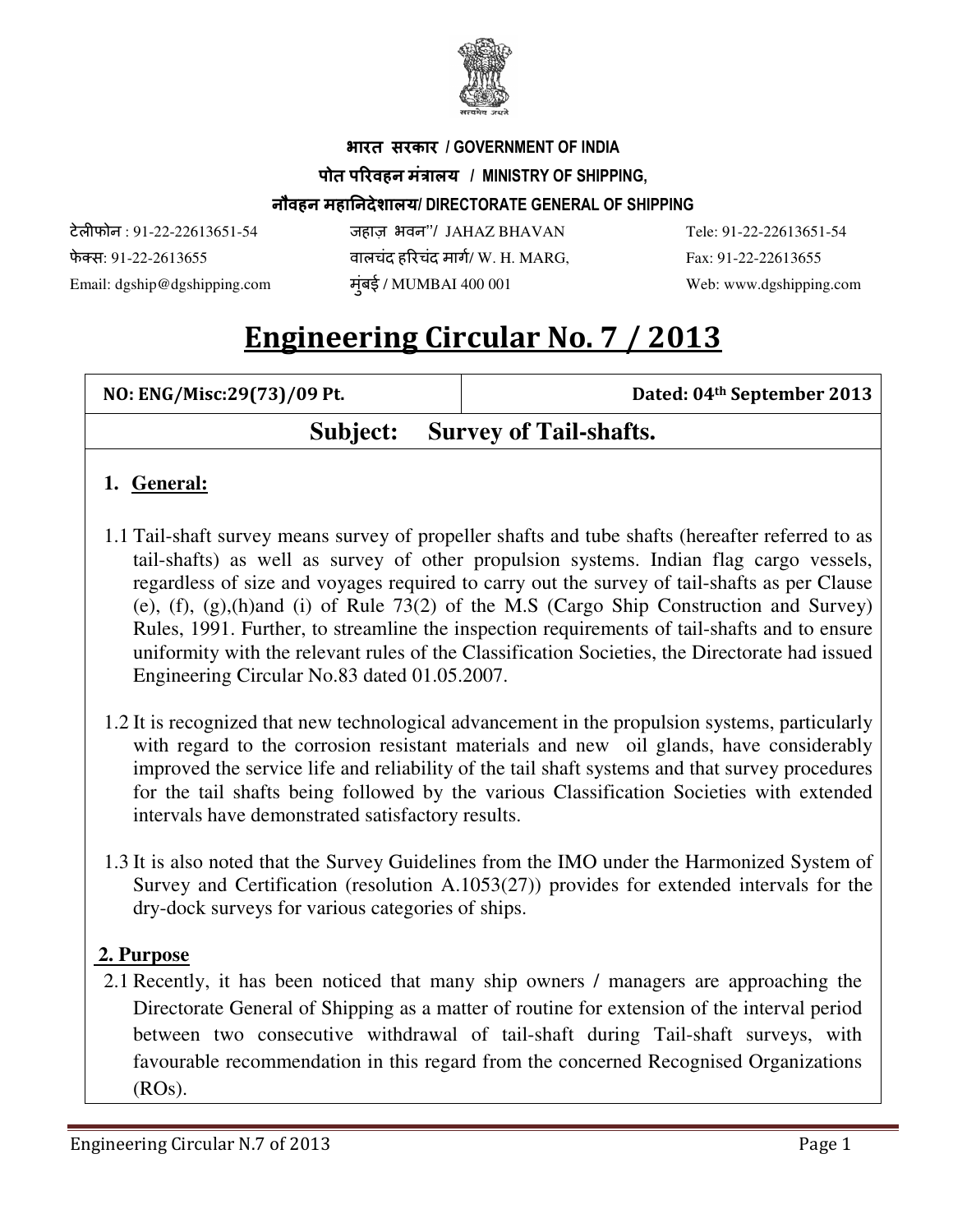

## भारत सरकार / GOVERNMENT OF INDIA पोत परिवहन मंत्रालय / MINISTRY OF SHIPPING, नौवहन महानदेशालय/ DIRECTORATE GENERAL OF SHIPPING

टेलफोन : 91-22-22613651-54 जहाज़ भवन''/ JAHAZ BHAVAN Tele: 91-22-22613651-54 फे स: 91-22-2613655 वालचंद हरचंद माग/ W. H. MARG, Fax: 91-22-22613655 Email: dgship@dgshipping.com मुंबई / MUMBAI 400 001 Web: www.dgshipping.com

# Engineering Circular No. 7 / 2013

| NO: ENG/Misc:29(73)/09 Pt. | Dated: 04 <sup>th</sup> September 2013 |
|----------------------------|----------------------------------------|
|                            | <b>Subject:</b> Survey of Tail-shafts. |

#### **1. General:**

- 1.1 Tail-shaft survey means survey of propeller shafts and tube shafts (hereafter referred to as tail-shafts) as well as survey of other propulsion systems. Indian flag cargo vessels, regardless of size and voyages required to carry out the survey of tail-shafts as per Clause (e), (f), (g),(h)and (i) of Rule 73(2) of the M.S (Cargo Ship Construction and Survey) Rules, 1991. Further, to streamline the inspection requirements of tail-shafts and to ensure uniformity with the relevant rules of the Classification Societies, the Directorate had issued Engineering Circular No.83 dated 01.05.2007.
- 1.2 It is recognized that new technological advancement in the propulsion systems, particularly with regard to the corrosion resistant materials and new oil glands, have considerably improved the service life and reliability of the tail shaft systems and that survey procedures for the tail shafts being followed by the various Classification Societies with extended intervals have demonstrated satisfactory results.
- 1.3 It is also noted that the Survey Guidelines from the IMO under the Harmonized System of Survey and Certification (resolution A.1053(27)) provides for extended intervals for the dry-dock surveys for various categories of ships.

#### **2. Purpose**

2.1 Recently, it has been noticed that many ship owners / managers are approaching the Directorate General of Shipping as a matter of routine for extension of the interval period between two consecutive withdrawal of tail-shaft during Tail-shaft surveys, with favourable recommendation in this regard from the concerned Recognised Organizations (ROs).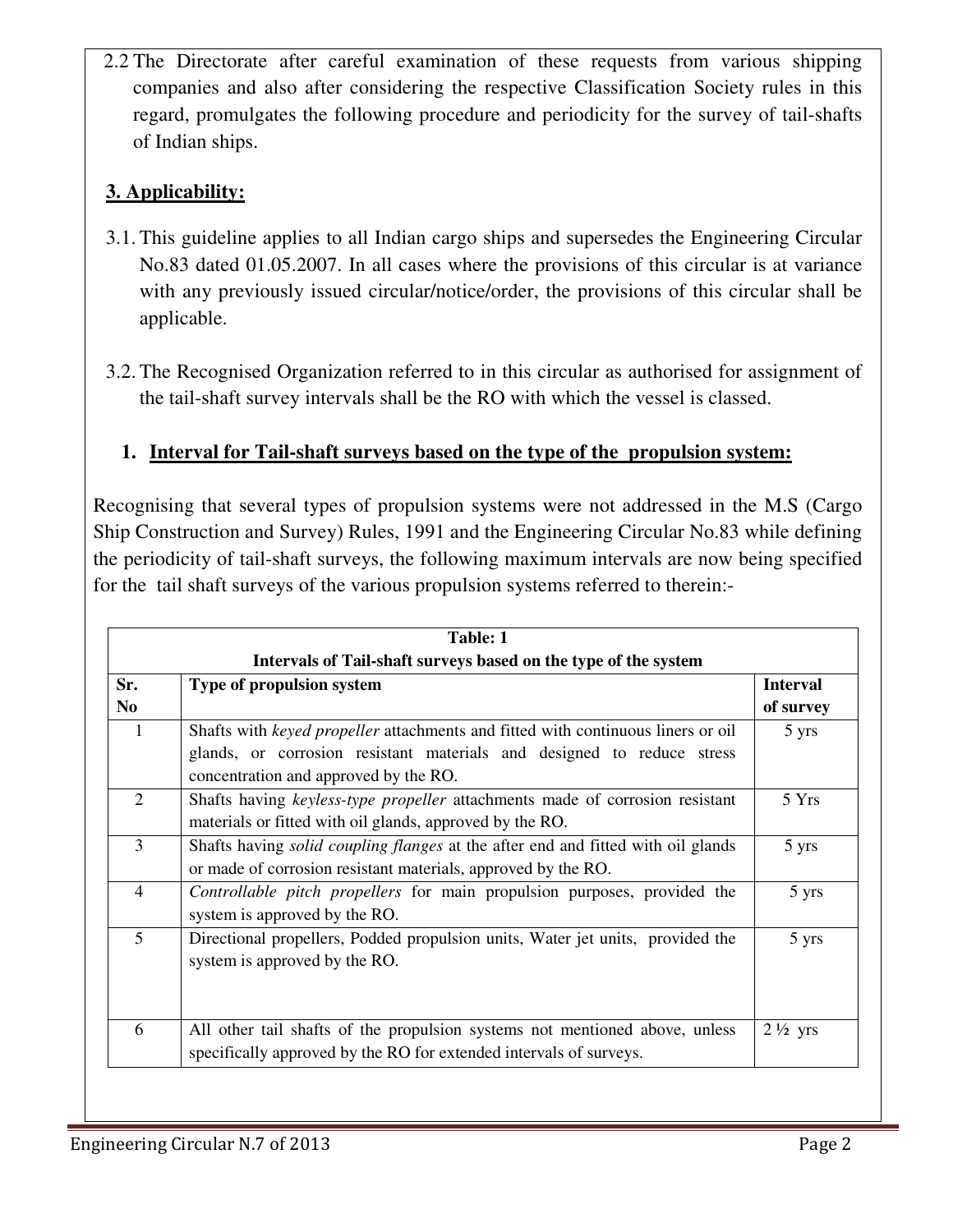2.2 The Directorate after careful examination of these requests from various shipping companies and also after considering the respective Classification Society rules in this regard, promulgates the following procedure and periodicity for the survey of tail-shafts of Indian ships.

#### **3. Applicability:**

- 3.1. This guideline applies to all Indian cargo ships and supersedes the Engineering Circular No.83 dated 01.05.2007. In all cases where the provisions of this circular is at variance with any previously issued circular/notice/order, the provisions of this circular shall be applicable.
- 3.2. The Recognised Organization referred to in this circular as authorised for assignment of the tail-shaft survey intervals shall be the RO with which the vessel is classed.

#### **1. Interval for Tail-shaft surveys based on the type of the propulsion system:**

Recognising that several types of propulsion systems were not addressed in the M.S (Cargo Ship Construction and Survey) Rules, 1991 and the Engineering Circular No.83 while defining the periodicity of tail-shaft surveys, the following maximum intervals are now being specified for the tail shaft surveys of the various propulsion systems referred to therein:-

| <b>Table: 1</b><br>Intervals of Tail-shaft surveys based on the type of the system |                                                                                         |                    |  |
|------------------------------------------------------------------------------------|-----------------------------------------------------------------------------------------|--------------------|--|
|                                                                                    |                                                                                         |                    |  |
| N <sub>0</sub>                                                                     |                                                                                         | of survey          |  |
| 1                                                                                  | Shafts with <i>keyed propeller</i> attachments and fitted with continuous liners or oil | 5 yrs              |  |
|                                                                                    | glands, or corrosion resistant materials and designed to reduce stress                  |                    |  |
|                                                                                    | concentration and approved by the RO.                                                   |                    |  |
| 2                                                                                  | Shafts having keyless-type propeller attachments made of corrosion resistant            | 5 Yrs              |  |
|                                                                                    | materials or fitted with oil glands, approved by the RO.                                |                    |  |
| 3                                                                                  | Shafts having <i>solid coupling flanges</i> at the after end and fitted with oil glands | 5 yrs              |  |
|                                                                                    | or made of corrosion resistant materials, approved by the RO.                           |                    |  |
| $\overline{4}$                                                                     | Controllable pitch propellers for main propulsion purposes, provided the                | 5 yrs              |  |
|                                                                                    | system is approved by the RO.                                                           |                    |  |
| 5<br>system is approved by the RO.                                                 | Directional propellers, Podded propulsion units, Water jet units, provided the          | 5 yrs              |  |
|                                                                                    |                                                                                         |                    |  |
|                                                                                    |                                                                                         |                    |  |
|                                                                                    |                                                                                         |                    |  |
| 6                                                                                  | All other tail shafts of the propulsion systems not mentioned above, unless             | $2\frac{1}{2}$ yrs |  |
|                                                                                    | specifically approved by the RO for extended intervals of surveys.                      |                    |  |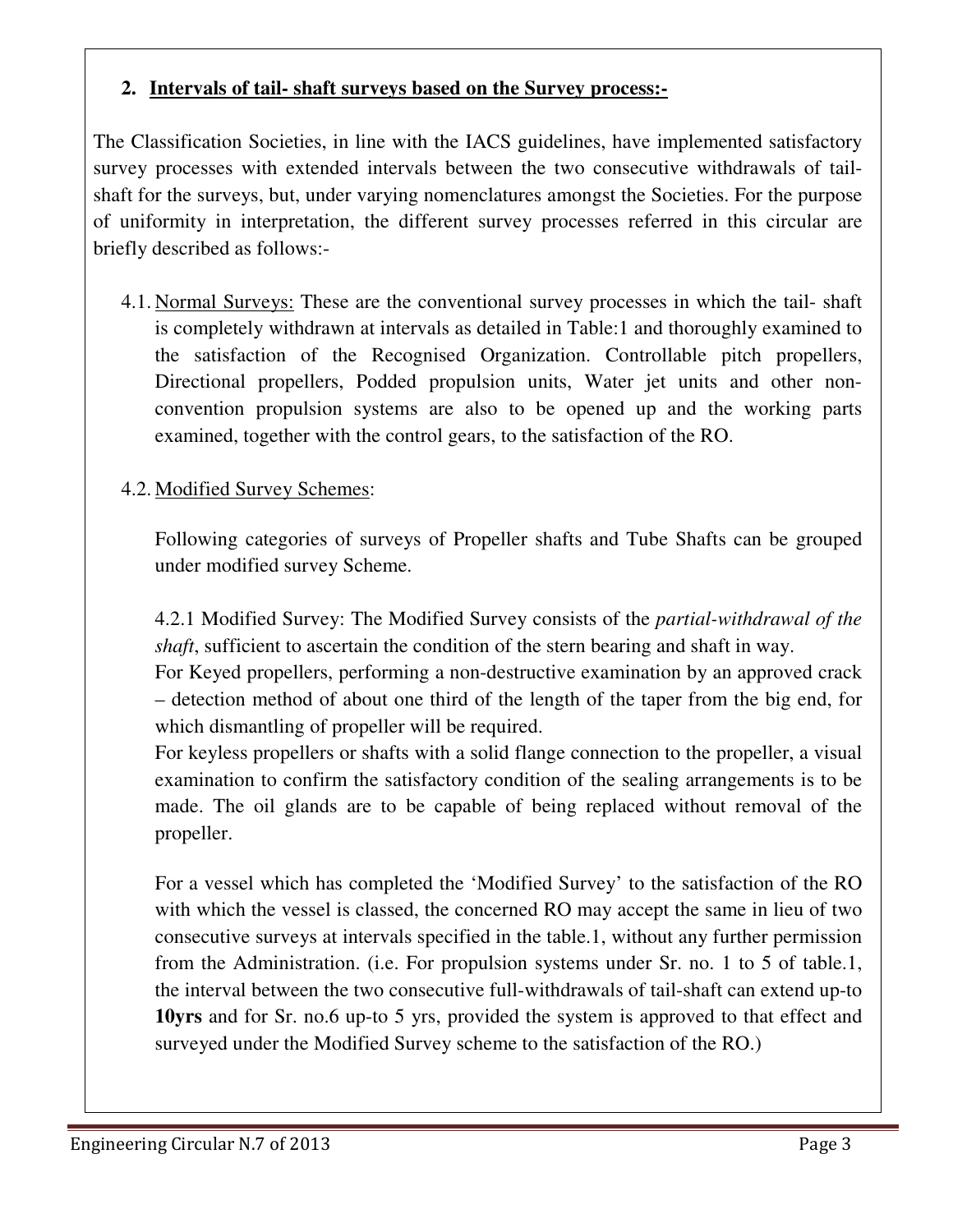#### **2. Intervals of tail- shaft surveys based on the Survey process:-**

The Classification Societies, in line with the IACS guidelines, have implemented satisfactory survey processes with extended intervals between the two consecutive withdrawals of tailshaft for the surveys, but, under varying nomenclatures amongst the Societies. For the purpose of uniformity in interpretation, the different survey processes referred in this circular are briefly described as follows:-

4.1. Normal Surveys: These are the conventional survey processes in which the tail- shaft is completely withdrawn at intervals as detailed in Table:1 and thoroughly examined to the satisfaction of the Recognised Organization. Controllable pitch propellers, Directional propellers, Podded propulsion units, Water jet units and other nonconvention propulsion systems are also to be opened up and the working parts examined, together with the control gears, to the satisfaction of the RO.

#### 4.2. Modified Survey Schemes:

Following categories of surveys of Propeller shafts and Tube Shafts can be grouped under modified survey Scheme.

4.2.1 Modified Survey: The Modified Survey consists of the *partial-withdrawal of the shaft*, sufficient to ascertain the condition of the stern bearing and shaft in way.

For Keyed propellers, performing a non-destructive examination by an approved crack – detection method of about one third of the length of the taper from the big end, for which dismantling of propeller will be required.

For keyless propellers or shafts with a solid flange connection to the propeller, a visual examination to confirm the satisfactory condition of the sealing arrangements is to be made. The oil glands are to be capable of being replaced without removal of the propeller.

For a vessel which has completed the 'Modified Survey' to the satisfaction of the RO with which the vessel is classed, the concerned RO may accept the same in lieu of two consecutive surveys at intervals specified in the table.1, without any further permission from the Administration. (i.e. For propulsion systems under Sr. no. 1 to 5 of table.1, the interval between the two consecutive full-withdrawals of tail-shaft can extend up-to **10yrs** and for Sr. no.6 up-to 5 yrs, provided the system is approved to that effect and surveyed under the Modified Survey scheme to the satisfaction of the RO.)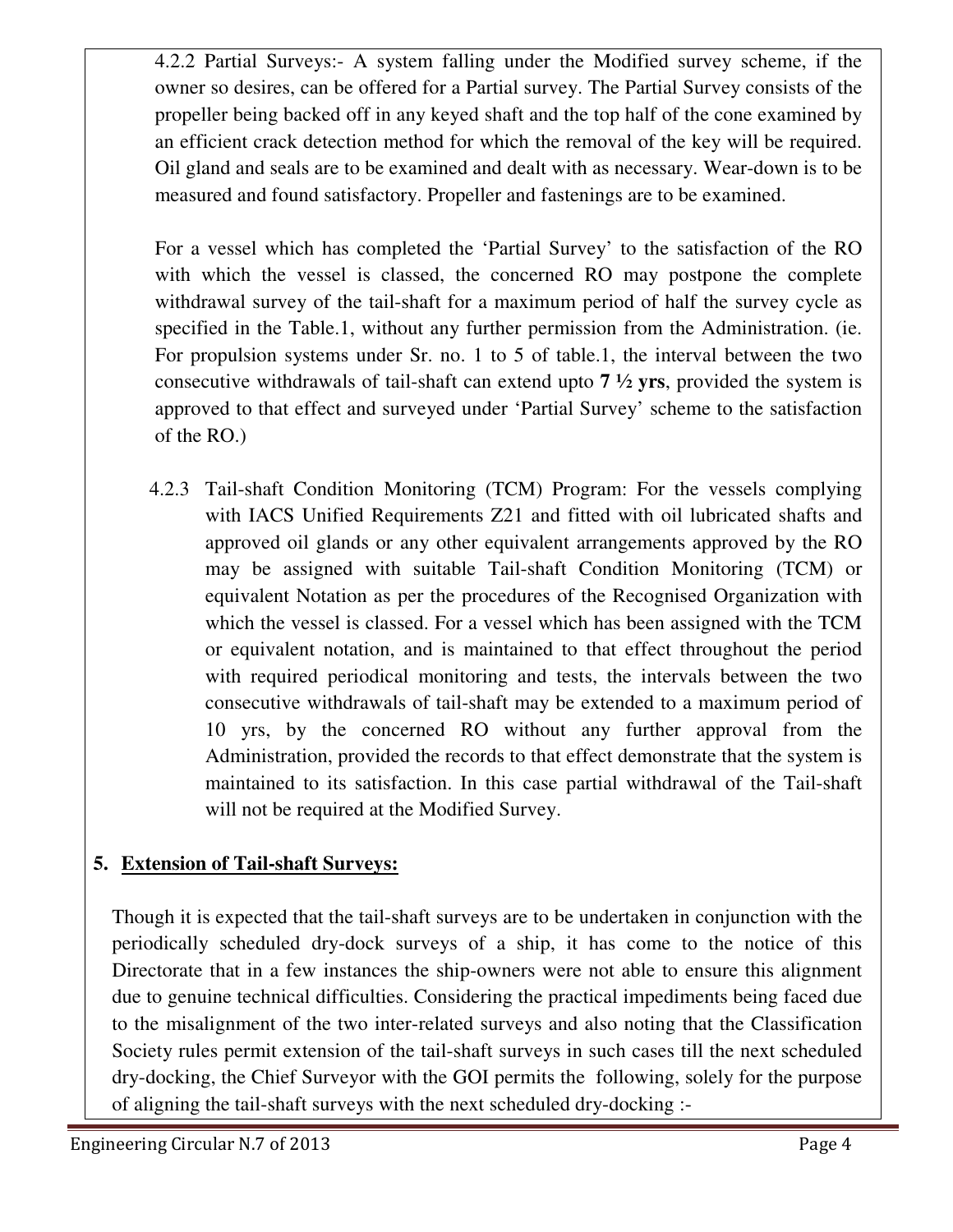4.2.2 Partial Surveys:- A system falling under the Modified survey scheme, if the owner so desires, can be offered for a Partial survey. The Partial Survey consists of the propeller being backed off in any keyed shaft and the top half of the cone examined by an efficient crack detection method for which the removal of the key will be required. Oil gland and seals are to be examined and dealt with as necessary. Wear-down is to be measured and found satisfactory. Propeller and fastenings are to be examined.

For a vessel which has completed the 'Partial Survey' to the satisfaction of the RO with which the vessel is classed, the concerned RO may postpone the complete withdrawal survey of the tail-shaft for a maximum period of half the survey cycle as specified in the Table.1, without any further permission from the Administration. (ie. For propulsion systems under Sr. no. 1 to 5 of table.1, the interval between the two consecutive withdrawals of tail-shaft can extend upto **7 ½ yrs**, provided the system is approved to that effect and surveyed under 'Partial Survey' scheme to the satisfaction of the RO.)

4.2.3 Tail-shaft Condition Monitoring (TCM) Program: For the vessels complying with IACS Unified Requirements Z21 and fitted with oil lubricated shafts and approved oil glands or any other equivalent arrangements approved by the RO may be assigned with suitable Tail-shaft Condition Monitoring (TCM) or equivalent Notation as per the procedures of the Recognised Organization with which the vessel is classed. For a vessel which has been assigned with the TCM or equivalent notation, and is maintained to that effect throughout the period with required periodical monitoring and tests, the intervals between the two consecutive withdrawals of tail-shaft may be extended to a maximum period of 10 yrs, by the concerned RO without any further approval from the Administration, provided the records to that effect demonstrate that the system is maintained to its satisfaction. In this case partial withdrawal of the Tail-shaft will not be required at the Modified Survey.

### **5. Extension of Tail-shaft Surveys:**

Though it is expected that the tail-shaft surveys are to be undertaken in conjunction with the periodically scheduled dry-dock surveys of a ship, it has come to the notice of this Directorate that in a few instances the ship-owners were not able to ensure this alignment due to genuine technical difficulties. Considering the practical impediments being faced due to the misalignment of the two inter-related surveys and also noting that the Classification Society rules permit extension of the tail-shaft surveys in such cases till the next scheduled dry-docking, the Chief Surveyor with the GOI permits the following, solely for the purpose of aligning the tail-shaft surveys with the next scheduled dry-docking :-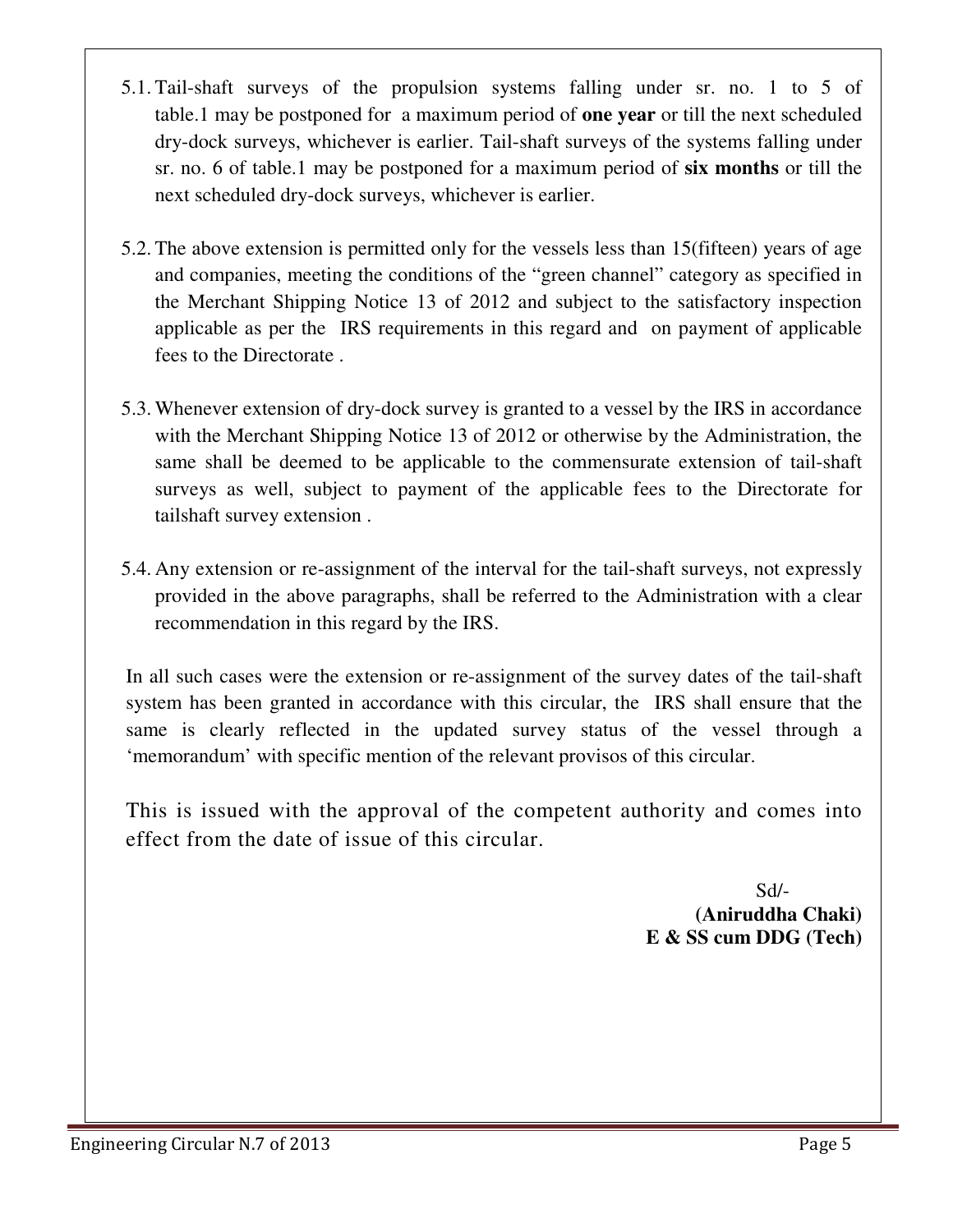- 5.1. Tail-shaft surveys of the propulsion systems falling under sr. no. 1 to 5 of table.1 may be postponed for a maximum period of **one year** or till the next scheduled dry-dock surveys, whichever is earlier. Tail-shaft surveys of the systems falling under sr. no. 6 of table.1 may be postponed for a maximum period of **six months** or till the next scheduled dry-dock surveys, whichever is earlier.
- 5.2. The above extension is permitted only for the vessels less than 15(fifteen) years of age and companies, meeting the conditions of the "green channel" category as specified in the Merchant Shipping Notice 13 of 2012 and subject to the satisfactory inspection applicable as per the IRS requirements in this regard and on payment of applicable fees to the Directorate .
- 5.3. Whenever extension of dry-dock survey is granted to a vessel by the IRS in accordance with the Merchant Shipping Notice 13 of 2012 or otherwise by the Administration, the same shall be deemed to be applicable to the commensurate extension of tail-shaft surveys as well, subject to payment of the applicable fees to the Directorate for tailshaft survey extension .
- 5.4. Any extension or re-assignment of the interval for the tail-shaft surveys, not expressly provided in the above paragraphs, shall be referred to the Administration with a clear recommendation in this regard by the IRS.

In all such cases were the extension or re-assignment of the survey dates of the tail-shaft system has been granted in accordance with this circular, the IRS shall ensure that the same is clearly reflected in the updated survey status of the vessel through a 'memorandum' with specific mention of the relevant provisos of this circular.

This is issued with the approval of the competent authority and comes into effect from the date of issue of this circular.

 Sd/- **(Aniruddha Chaki) E & SS cum DDG (Tech)**